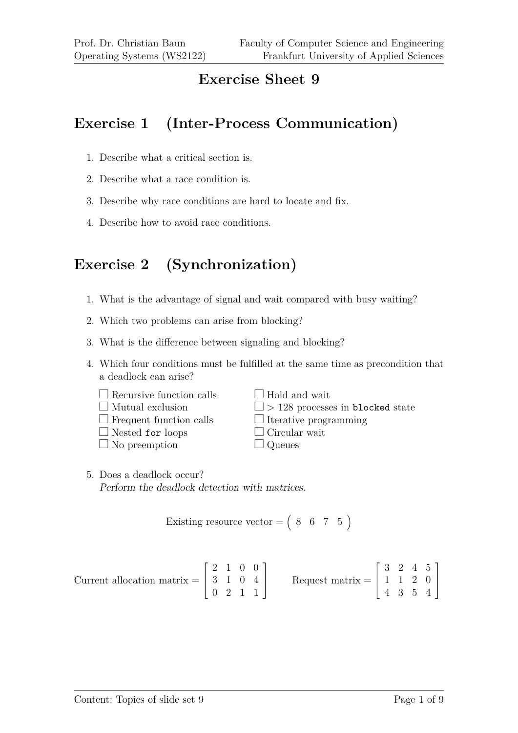#### **Exercise Sheet 9**

#### **Exercise 1 (Inter-Process Communication)**

- 1. Describe what a critical section is.
- 2. Describe what a race condition is.
- 3. Describe why race conditions are hard to locate and fix.
- 4. Describe how to avoid race conditions.

# **Exercise 2 (Synchronization)**

- 1. What is the advantage of signal and wait compared with busy waiting?
- 2. Which two problems can arise from blocking?
- 3. What is the difference between signaling and blocking?
- 4. Which four conditions must be fulfilled at the same time as precondition that a deadlock can arise?

| $\Box$ Recursive function calls | $\Box$ Hold and wait                    |
|---------------------------------|-----------------------------------------|
| $\Box$ Mutual exclusion         | $\Box$ > 128 processes in blocked state |
| $\Box$ Frequent function calls  | $\Box$ Iterative programming            |
| $\Box$ Nested for loops         | $\Box$ Circular wait                    |
| $\Box$ No preemption            | $\Box$ Queues                           |
|                                 |                                         |

5. Does a deadlock occur? Perform the deadlock detection with matrices.

$$
Existing resource vector = \begin{pmatrix} 8 & 6 & 7 & 5 \end{pmatrix}
$$

Current allocation matrix =  $\lceil$  $\Big\}$ 2 1 0 0 3 1 0 4 0 2 1 1 1 Request matrix =  $\sqrt{ }$  $\overline{\phantom{a}}$ 3 2 4 5 1 1 2 0 4 3 5 4 1  $\overline{\phantom{a}}$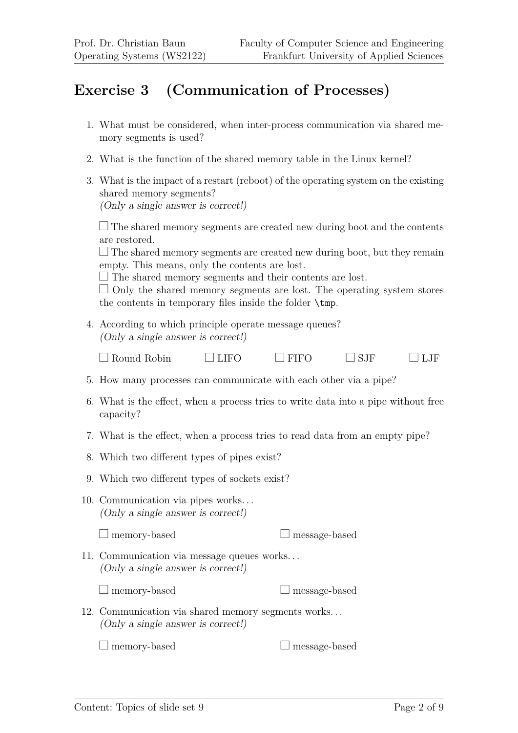## **Exercise 3 (Communication of Processes)**

- 1. What must be considered, when inter-process communication via shared memory segments is used?
- 2. What is the function of the shared memory table in the Linux kernel?
- 3. What is the impact of a restart (reboot) of the operating system on the existing shared memory segments? (Only a single answer is correct!)

 $\Box$  The shared memory segments are created new during boot and the contents are restored.

 $\Box$  The shared memory segments are created new during boot, but they remain empty. This means, only the contents are lost.

 $\Box$  The shared memory segments and their contents are lost.

 $\Box$  Only the shared memory segments are lost. The operating system stores the contents in temporary files inside the folder \tmp.

4. According to which principle operate message queues? (Only a single answer is correct!)

| $\Box$ LIFO<br>$\Box$ SJF<br>$\Box$ FIFO<br>$\Box$ LJF<br>$\Box$ Round Robin |
|------------------------------------------------------------------------------|
|------------------------------------------------------------------------------|

- 5. How many processes can communicate with each other via a pipe?
- 6. What is the effect, when a process tries to write data into a pipe without free capacity?
- 7. What is the effect, when a process tries to read data from an empty pipe?
- 8. Which two different types of pipes exist?
- 9. Which two different types of sockets exist?
- 10. Communication via pipes works. . . (Only a single answer is correct!)

 $\Box$  memory-based  $\Box$  message-based

11. Communication via message queues works. . . (Only a single answer is correct!)

 $\Box$  memory-based  $\Box$  message-based

12. Communication via shared memory segments works. . . (Only a single answer is correct!)

 $\Box$  memory-based  $\Box$  message-based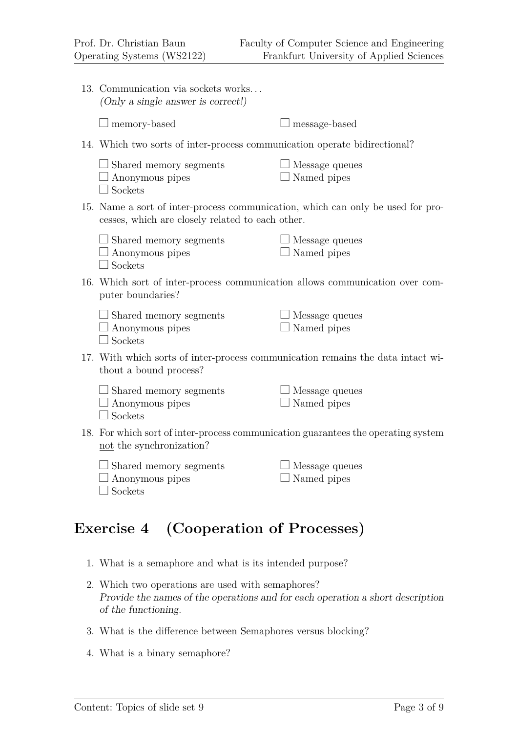| 13. Communication via sockets works<br>(Only a single answer is correct!)                                                           |                                       |  |
|-------------------------------------------------------------------------------------------------------------------------------------|---------------------------------------|--|
| $\perp$ memory-based                                                                                                                | message-based                         |  |
| 14. Which two sorts of inter-process communication operate bidirectional?                                                           |                                       |  |
| $\Box$ Shared memory segments<br>$\Box$ Anonymous pipes<br>$\Box$ Sockets                                                           | $\perp$ Message queues<br>Named pipes |  |
| 15. Name a sort of inter-process communication, which can only be used for pro-<br>cesses, which are closely related to each other. |                                       |  |
| $\Box$ Shared memory segments<br>$\Box$ Anonymous pipes<br>Sockets                                                                  | Message queues<br>Named pipes         |  |
| 16. Which sort of inter-process communication allows communication over com-<br>puter boundaries?                                   |                                       |  |
| $\Box$ Shared memory segments<br>$\Box$ Anonymous pipes<br>$\Box$ Sockets                                                           | Message queues<br>Named pipes         |  |
| 17. With which sorts of inter-process communication remains the data intact wi-<br>thout a bound process?                           |                                       |  |
| $\Box$ Shared memory segments<br>$\Box$ Anonymous pipes<br>Sockets                                                                  | $\perp$ Message queues<br>Named pipes |  |
| 18. For which sort of inter-process communication guarantees the operating system<br>not the synchronization?                       |                                       |  |
| Shared memory segments<br>Anonymous pipes<br>Sockets                                                                                | Message queues<br>Named pipes         |  |
|                                                                                                                                     |                                       |  |

# **Exercise 4 (Cooperation of Processes)**

- 1. What is a semaphore and what is its intended purpose?
- 2. Which two operations are used with semaphores? Provide the names of the operations and for each operation a short description of the functioning.
- 3. What is the difference between Semaphores versus blocking?
- 4. What is a binary semaphore?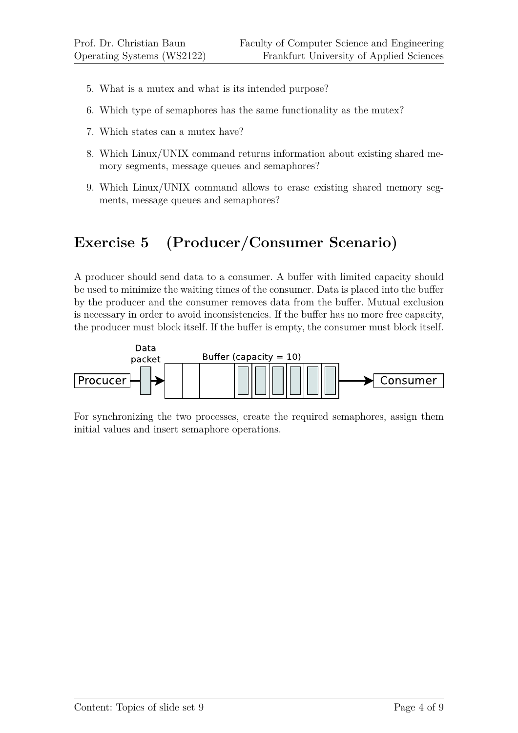- 5. What is a mutex and what is its intended purpose?
- 6. Which type of semaphores has the same functionality as the mutex?
- 7. Which states can a mutex have?
- 8. Which Linux/UNIX command returns information about existing shared memory segments, message queues and semaphores?
- 9. Which Linux/UNIX command allows to erase existing shared memory segments, message queues and semaphores?

## **Exercise 5 (Producer/Consumer Scenario)**

A producer should send data to a consumer. A buffer with limited capacity should be used to minimize the waiting times of the consumer. Data is placed into the buffer by the producer and the consumer removes data from the buffer. Mutual exclusion is necessary in order to avoid inconsistencies. If the buffer has no more free capacity, the producer must block itself. If the buffer is empty, the consumer must block itself.



For synchronizing the two processes, create the required semaphores, assign them initial values and insert semaphore operations.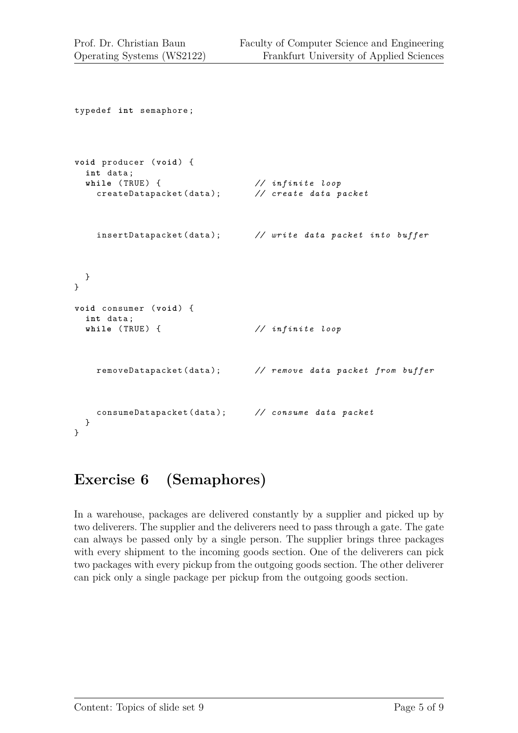```
typedef int semaphore ;
void producer ( void ) {
  int data ;
  while (TRUE) { \frac{1}{2} (TRUE) { \frac{1}{2} (\frac{1}{2} (\frac{1}{2} create data packet
    createDatapacket ( data ); // create data packet
    insertDatapacket ( data ); // write data packet into buffer
  }
}
void consumer ( void ) {
  int data ;
  while (TRUE) { \frac{1}{2} // infinite loop
    removeDatapacket ( data ); // remove data packet from buffer
    consumeDatapacket ( data ); // consume data packet
  }
}
```
# **Exercise 6 (Semaphores)**

In a warehouse, packages are delivered constantly by a supplier and picked up by two deliverers. The supplier and the deliverers need to pass through a gate. The gate can always be passed only by a single person. The supplier brings three packages with every shipment to the incoming goods section. One of the deliverers can pick two packages with every pickup from the outgoing goods section. The other deliverer can pick only a single package per pickup from the outgoing goods section.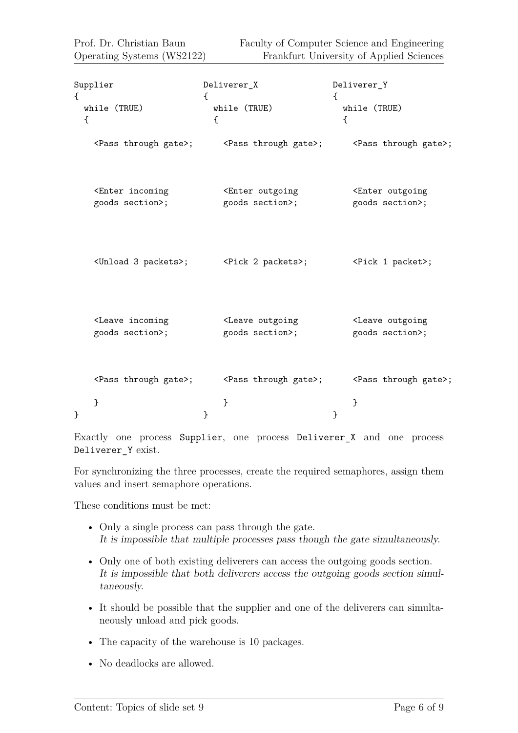| Supplier                                                                                                                 | Deliverer_X                                                                     | Deliverer_Y                                                                                           |
|--------------------------------------------------------------------------------------------------------------------------|---------------------------------------------------------------------------------|-------------------------------------------------------------------------------------------------------|
| €                                                                                                                        | €                                                                               | $\left\{ \right.$                                                                                     |
| while (TRUE)                                                                                                             | while (TRUE)                                                                    | while (TRUE)                                                                                          |
| $\mathcal{L}$                                                                                                            | €                                                                               | €                                                                                                     |
|                                                                                                                          |                                                                                 | <pass gate="" through="">; <pass gate="" through="">; <pass gate="" through="">;</pass></pass></pass> |
| <enter incoming<="" td=""><td><enter outgoing<="" td=""><td><enter outgoing<="" td=""></enter></td></enter></td></enter> | <enter outgoing<="" td=""><td><enter outgoing<="" td=""></enter></td></enter>   | <enter outgoing<="" td=""></enter>                                                                    |
| goods section>;                                                                                                          | goods section>;                                                                 | goods section>;                                                                                       |
|                                                                                                                          | <unload 3="" packets="">; <pick 2="" packets="">;</pick></unload>               | <pick 1="" packet="">;</pick>                                                                         |
| <leave incoming<="" td=""><td><leave outgoing<="" td=""><td><leave outgoing<="" td=""></leave></td></leave></td></leave> | <leave outgoing<="" td=""><td><leave outgoing<="" td=""></leave></td></leave>   | <leave outgoing<="" td=""></leave>                                                                    |
| goods section>;                                                                                                          | goods section>;                                                                 | goods section>;                                                                                       |
| }<br>ł                                                                                                                   | <pass gate="" through="">; <pass gate="" through="">;<br/>}<br/>}</pass></pass> | <pass gate="" through="">;<br/>}<br/>}</pass>                                                         |

Exactly one process Supplier, one process Deliverer\_X and one process Deliverer\_Y exist.

For synchronizing the three processes, create the required semaphores, assign them values and insert semaphore operations.

These conditions must be met:

- Only a single process can pass through the gate. It is impossible that multiple processes pass though the gate simultaneously.
- Only one of both existing deliverers can access the outgoing goods section. It is impossible that both deliverers access the outgoing goods section simultaneously.
- It should be possible that the supplier and one of the deliverers can simultaneously unload and pick goods.
- The capacity of the warehouse is 10 packages.
- No deadlocks are allowed.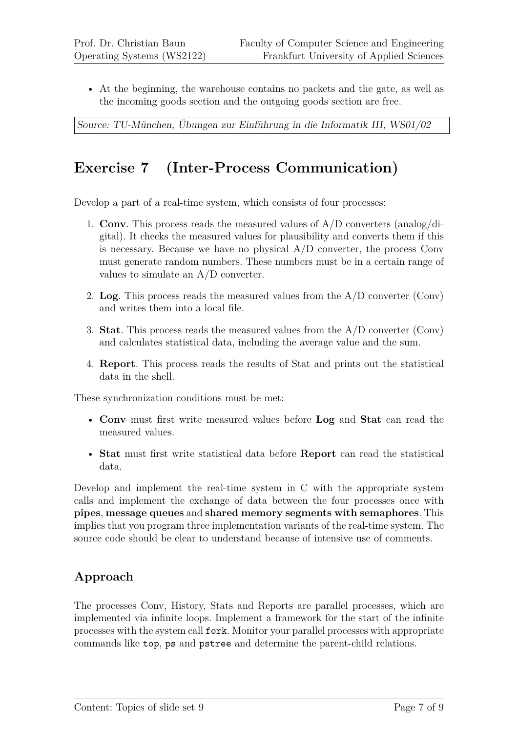• At the beginning, the warehouse contains no packets and the gate, as well as the incoming goods section and the outgoing goods section are free.

Source: TU-München, Übungen zur Einführung in die Informatik III, WS01/02

## **Exercise 7 (Inter-Process Communication)**

Develop a part of a real-time system, which consists of four processes:

- 1. **Conv**. This process reads the measured values of A/D converters (analog/digital). It checks the measured values for plausibility and converts them if this is necessary. Because we have no physical  $A/D$  converter, the process Conv must generate random numbers. These numbers must be in a certain range of values to simulate an A/D converter.
- 2. **Log**. This process reads the measured values from the A/D converter (Conv) and writes them into a local file.
- 3. **Stat**. This process reads the measured values from the A/D converter (Conv) and calculates statistical data, including the average value and the sum.
- 4. **Report**. This process reads the results of Stat and prints out the statistical data in the shell.

These synchronization conditions must be met:

- **Conv** must first write measured values before **Log** and **Stat** can read the measured values.
- **Stat** must first write statistical data before **Report** can read the statistical data.

Develop and implement the real-time system in C with the appropriate system calls and implement the exchange of data between the four processes once with **pipes**, **message queues** and **shared memory segments with semaphores**. This implies that you program three implementation variants of the real-time system. The source code should be clear to understand because of intensive use of comments.

#### **Approach**

The processes Conv, History, Stats and Reports are parallel processes, which are implemented via infinite loops. Implement a framework for the start of the infinite processes with the system call fork. Monitor your parallel processes with appropriate commands like top, ps and pstree and determine the parent-child relations.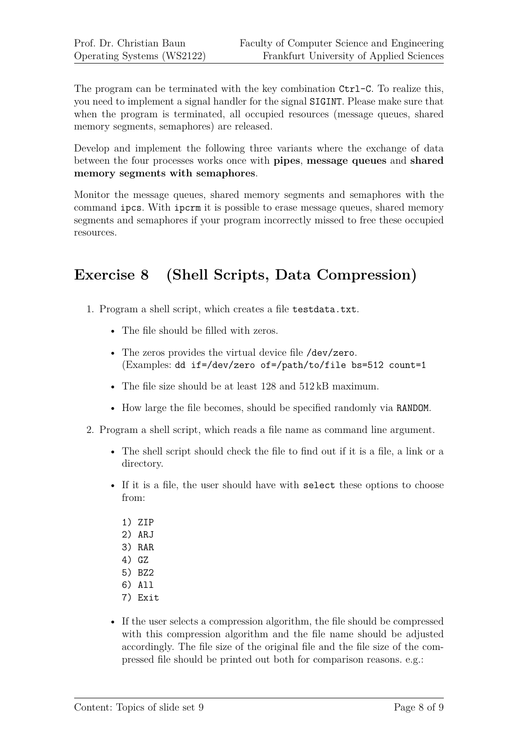The program can be terminated with the key combination Ctrl-C. To realize this, you need to implement a signal handler for the signal SIGINT. Please make sure that when the program is terminated, all occupied resources (message queues, shared memory segments, semaphores) are released.

Develop and implement the following three variants where the exchange of data between the four processes works once with **pipes**, **message queues** and **shared memory segments with semaphores**.

Monitor the message queues, shared memory segments and semaphores with the command ipcs. With ipcrm it is possible to erase message queues, shared memory segments and semaphores if your program incorrectly missed to free these occupied resources.

# **Exercise 8 (Shell Scripts, Data Compression)**

- 1. Program a shell script, which creates a file testdata.txt.
	- The file should be filled with zeros.
	- The zeros provides the virtual device file /dev/zero. (Examples: dd if=/dev/zero of=/path/to/file bs=512 count=1
	- The file size should be at least 128 and 512 kB maximum.
	- How large the file becomes, should be specified randomly via RANDOM.
- 2. Program a shell script, which reads a file name as command line argument.
	- The shell script should check the file to find out if it is a file, a link or a directory.
	- If it is a file, the user should have with select these options to choose from:
		- 1) ZIP
		- 2) ARJ
		- 3) RAR
		- 4) GZ
		- 5) BZ2
		- 6) All
		- 7) Exit
	- If the user selects a compression algorithm, the file should be compressed with this compression algorithm and the file name should be adjusted accordingly. The file size of the original file and the file size of the compressed file should be printed out both for comparison reasons. e.g.: